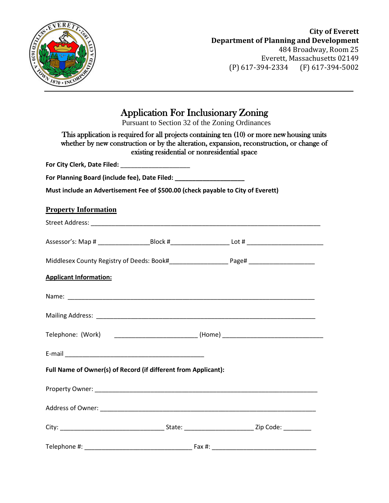

# **City of Everett Department of Planning and Development** 484 Broadway, Room 25

Everett, Massachusetts 02149 (P) 617-394-2334 (F) 617-394-5002

# Application For Inclusionary Zoning

Pursuant to Section 32 of the Zoning Ordinances

|                                                                                  | existing residential or nonresidential space | This application is required for all projects containing ten (10) or more new housing units<br>whether by new construction or by the alteration, expansion, reconstruction, or change of |
|----------------------------------------------------------------------------------|----------------------------------------------|------------------------------------------------------------------------------------------------------------------------------------------------------------------------------------------|
|                                                                                  |                                              |                                                                                                                                                                                          |
| For Planning Board (include fee), Date Filed: _______________________            |                                              |                                                                                                                                                                                          |
| Must include an Advertisement Fee of \$500.00 (check payable to City of Everett) |                                              |                                                                                                                                                                                          |
| <b>Property Information</b>                                                      |                                              |                                                                                                                                                                                          |
|                                                                                  |                                              |                                                                                                                                                                                          |
|                                                                                  |                                              |                                                                                                                                                                                          |
|                                                                                  |                                              |                                                                                                                                                                                          |
| <b>Applicant Information:</b>                                                    |                                              |                                                                                                                                                                                          |
|                                                                                  |                                              |                                                                                                                                                                                          |
|                                                                                  |                                              |                                                                                                                                                                                          |
|                                                                                  |                                              | Telephone: (Work) ___________________________________(Home) _____________________                                                                                                        |
|                                                                                  |                                              |                                                                                                                                                                                          |
| Full Name of Owner(s) of Record (if different from Applicant):                   |                                              |                                                                                                                                                                                          |
|                                                                                  |                                              |                                                                                                                                                                                          |
|                                                                                  |                                              |                                                                                                                                                                                          |
|                                                                                  |                                              |                                                                                                                                                                                          |
| Telephone #:                                                                     | Fax #:                                       |                                                                                                                                                                                          |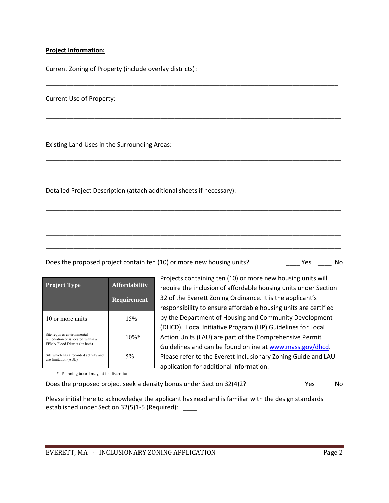#### **Project Information:**

Current Zoning of Property (include overlay districts):

Current Use of Property:

Existing Land Uses in the Surrounding Areas:

Detailed Project Description (attach additional sheets if necessary):

Does the proposed project contain ten (10) or more new housing units? No example the proposed project contain ten (10) or more new housing units?

\_\_\_\_\_\_\_\_\_\_\_\_\_\_\_\_\_\_\_\_\_\_\_\_\_\_\_\_\_\_\_\_\_\_\_\_\_\_\_\_\_\_\_\_\_\_\_\_\_\_\_\_\_\_\_\_\_\_\_\_\_\_\_\_\_\_\_\_\_\_\_\_\_\_\_\_\_\_\_\_\_\_\_\_

\_\_\_\_\_\_\_\_\_\_\_\_\_\_\_\_\_\_\_\_\_\_\_\_\_\_\_\_\_\_\_\_\_\_\_\_\_\_\_\_\_\_\_\_\_\_\_\_\_\_\_\_\_\_\_\_\_\_\_\_\_\_\_\_\_\_\_\_\_\_\_\_\_\_\_\_\_\_\_\_\_\_\_\_\_

\_\_\_\_\_\_\_\_\_\_\_\_\_\_\_\_\_\_\_\_\_\_\_\_\_\_\_\_\_\_\_\_\_\_\_\_\_\_\_\_\_\_\_\_\_\_\_\_\_\_\_\_\_\_\_\_\_\_\_\_\_\_\_\_\_\_\_\_\_\_\_\_\_\_\_\_\_\_\_\_\_\_\_\_\_

\_\_\_\_\_\_\_\_\_\_\_\_\_\_\_\_\_\_\_\_\_\_\_\_\_\_\_\_\_\_\_\_\_\_\_\_\_\_\_\_\_\_\_\_\_\_\_\_\_\_\_\_\_\_\_\_\_\_\_\_\_\_\_\_\_\_\_\_\_\_\_\_\_\_\_\_\_\_\_\_\_\_\_\_\_

\_\_\_\_\_\_\_\_\_\_\_\_\_\_\_\_\_\_\_\_\_\_\_\_\_\_\_\_\_\_\_\_\_\_\_\_\_\_\_\_\_\_\_\_\_\_\_\_\_\_\_\_\_\_\_\_\_\_\_\_\_\_\_\_\_\_\_\_\_\_\_\_\_\_\_\_\_\_\_\_\_\_\_\_\_

\_\_\_\_\_\_\_\_\_\_\_\_\_\_\_\_\_\_\_\_\_\_\_\_\_\_\_\_\_\_\_\_\_\_\_\_\_\_\_\_\_\_\_\_\_\_\_\_\_\_\_\_\_\_\_\_\_\_\_\_\_\_\_\_\_\_\_\_\_\_\_\_\_\_\_\_\_\_\_\_\_\_\_\_\_

\_\_\_\_\_\_\_\_\_\_\_\_\_\_\_\_\_\_\_\_\_\_\_\_\_\_\_\_\_\_\_\_\_\_\_\_\_\_\_\_\_\_\_\_\_\_\_\_\_\_\_\_\_\_\_\_\_\_\_\_\_\_\_\_\_\_\_\_\_\_\_\_\_\_\_\_\_\_\_\_\_\_\_\_\_

\_\_\_\_\_\_\_\_\_\_\_\_\_\_\_\_\_\_\_\_\_\_\_\_\_\_\_\_\_\_\_\_\_\_\_\_\_\_\_\_\_\_\_\_\_\_\_\_\_\_\_\_\_\_\_\_\_\_\_\_\_\_\_\_\_\_\_\_\_\_\_\_\_\_\_\_\_\_\_\_\_\_\_\_\_

\_\_\_\_\_\_\_\_\_\_\_\_\_\_\_\_\_\_\_\_\_\_\_\_\_\_\_\_\_\_\_\_\_\_\_\_\_\_\_\_\_\_\_\_\_\_\_\_\_\_\_\_\_\_\_\_\_\_\_\_\_\_\_\_\_\_\_\_\_\_\_\_\_\_\_\_\_\_\_\_\_\_\_\_\_

| <b>Project Type</b>                                                                                | <b>Affordability</b><br><b>Requirement</b> |
|----------------------------------------------------------------------------------------------------|--------------------------------------------|
| 10 or more units                                                                                   | 15%                                        |
| Site requires environmental<br>remediation or is located within a<br>FEMA Flood District (or both) | $10\%$ *                                   |
| Site which has a recorded activity and<br>use limitation (AUL)                                     | 5%                                         |

Projects containing ten (10) or more new housing units will require the inclusion of affordable housing units under Section 32 of the Everett Zoning Ordinance. It is the applicant's responsibility to ensure affordable housing units are certified by the Department of Housing and Community Development (DHCD). Local Initiative Program (LIP) Guidelines for Local Action Units (LAU) are part of the Comprehensive Permit Guidelines and can be found online at www.mass.gov/dhcd. Please refer to the Everett Inclusionary Zoning Guide and LAU application for additional information.

\* - Planning board may, at its discretion

Does the proposed project seek a density bonus under Section 32(4)2? \_\_\_\_ Yes \_\_\_\_ No

Please initial here to acknowledge the applicant has read and is familiar with the design standards established under Section 32(5)1-5 (Required): \_\_\_\_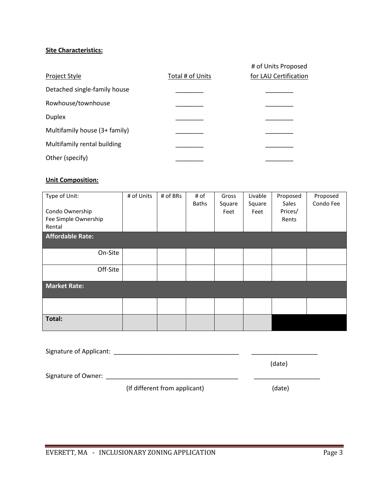### **Site Characteristics:**

|                               |                  | # of Units Proposed   |
|-------------------------------|------------------|-----------------------|
| Project Style                 | Total # of Units | for LAU Certification |
| Detached single-family house  |                  |                       |
| Rowhouse/townhouse            |                  |                       |
| <b>Duplex</b>                 |                  |                       |
| Multifamily house (3+ family) |                  |                       |
| Multifamily rental building   |                  |                       |
| Other (specify)               |                  |                       |

#### **Unit Composition:**

| Type of Unit:<br>Condo Ownership<br>Fee Simple Ownership<br>Rental | # of Units | # of BRs | # of<br><b>Baths</b> | Gross<br>Square<br>Feet | Livable<br>Square<br>Feet | Proposed<br>Sales<br>Prices/<br>Rents | Proposed<br>Condo Fee |
|--------------------------------------------------------------------|------------|----------|----------------------|-------------------------|---------------------------|---------------------------------------|-----------------------|
| <b>Affordable Rate:</b>                                            |            |          |                      |                         |                           |                                       |                       |
| On-Site                                                            |            |          |                      |                         |                           |                                       |                       |
| Off-Site                                                           |            |          |                      |                         |                           |                                       |                       |
| <b>Market Rate:</b>                                                |            |          |                      |                         |                           |                                       |                       |
|                                                                    |            |          |                      |                         |                           |                                       |                       |
| Total:                                                             |            |          |                      |                         |                           |                                       |                       |

| Signature of Applicant: |                               |        |
|-------------------------|-------------------------------|--------|
|                         |                               | (date) |
| Signature of Owner:     |                               |        |
|                         | (If different from applicant) | (date) |